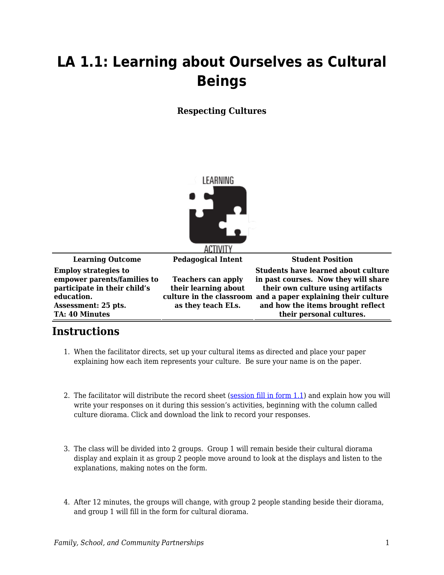## **LA 1.1: Learning about Ourselves as Cultural Beings**

## **Respecting Cultures**



|                                                                                                                                                          | 71.11111                                                                |                                                                                                                                                                                                                                                           |
|----------------------------------------------------------------------------------------------------------------------------------------------------------|-------------------------------------------------------------------------|-----------------------------------------------------------------------------------------------------------------------------------------------------------------------------------------------------------------------------------------------------------|
| <b>Learning Outcome</b>                                                                                                                                  | <b>Pedagogical Intent</b>                                               | <b>Student Position</b>                                                                                                                                                                                                                                   |
| <b>Employ strategies to</b><br>empower parents/families to<br>participate in their child's<br>education.<br>Assessment: 25 pts.<br><b>TA: 40 Minutes</b> | <b>Teachers can apply</b><br>their learning about<br>as they teach ELs. | <b>Students have learned about culture</b><br>in past courses. Now they will share<br>their own culture using artifacts<br>culture in the classroom and a paper explaining their culture<br>and how the items brought reflect<br>their personal cultures. |

## **Instructions**

- 1. When the facilitator directs, set up your cultural items as directed and place your paper explaining how each item represents your culture. Be sure your name is on the paper.
- 2. The facilitator will distribute the record sheet ([session fill in form 1.1\)](https://byu.box.com/s/7bk5uooy0tgxcm620wa5ky937uxlywdv) and explain how you will write your responses on it during this session's activities, beginning with the column called culture diorama. Click and download the link to record your responses.
- 3. The class will be divided into 2 groups. Group 1 will remain beside their cultural diorama display and explain it as group 2 people move around to look at the displays and listen to the explanations, making notes on the form.
- 4. After 12 minutes, the groups will change, with group 2 people standing beside their diorama, and group 1 will fill in the form for cultural diorama.